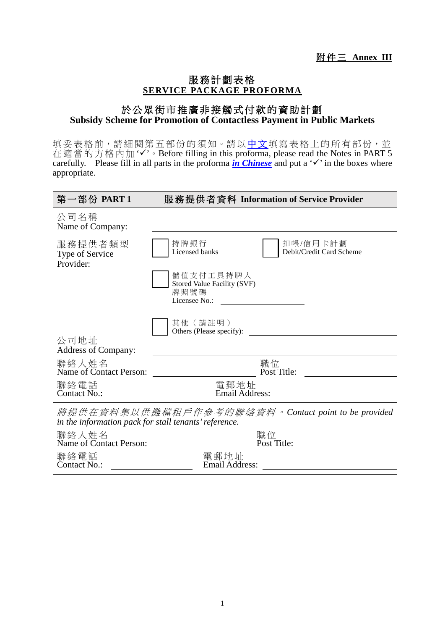## 服務計劃表格 **SERVICE PACKAGE PROFORMA**

## 於公眾街市推廣非接觸式付款的資助計劃 **Subsidy Scheme for Promotion of Contactless Payment in Public Markets**

填妥表格前,請細閱第五部份的須知。請以中文填寫表格上的所有部份,並 在適當的方格內加'✓'。Before filling in this proforma, please read the Notes in PART 5 carefully. Please fill in all parts in the proforma *in Chinese* and put a ' $\checkmark$ ' in the boxes where appropriate.

| 第一部份 PART 1                                                                                                 | 服務提供者資料 Information of Service Provider                           |  |
|-------------------------------------------------------------------------------------------------------------|-------------------------------------------------------------------|--|
| 公司名稱<br>Name of Company:                                                                                    |                                                                   |  |
| 服務提供者類型<br>Type of Service<br>Provider:                                                                     | 持牌銀行<br>扣帳/信用卡計劃<br>Licensed banks<br>Debit/Credit Card Scheme    |  |
|                                                                                                             | 儲值支付工具持牌人<br>Stored Value Facility (SVF)<br>牌照號碼<br>Licensee No.: |  |
|                                                                                                             | 其他 (請註明)<br>Others (Please specify):                              |  |
| 公司地址<br><b>Address of Company:</b>                                                                          |                                                                   |  |
| 聯絡人姓名<br>Name of Contact Person:                                                                            | 職位<br>Post Title:                                                 |  |
| 聯絡電話<br>Contact No.:                                                                                        | 電郵地址<br><b>Email Address:</b>                                     |  |
| 將提供在資料集以供攤檔租戶作參考的聯絡資料。Contact point to be provided<br>in the information pack for stall tenants' reference. |                                                                   |  |
| 聯絡人姓名<br>Name of Contact Person:                                                                            | 職位<br>Post Title:                                                 |  |
| 聯絡電話<br>Contact No.:                                                                                        | 電郵地址<br>Email Address:                                            |  |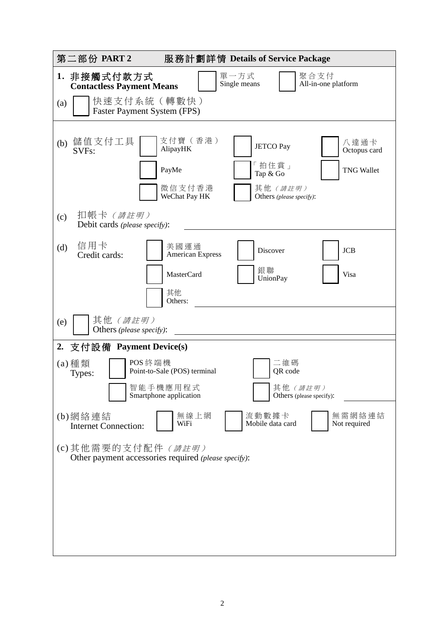| 第二部份 PART2                                                                        | 服務計劃詳情 Details of Service Package                                                                                                                                                      |  |
|-----------------------------------------------------------------------------------|----------------------------------------------------------------------------------------------------------------------------------------------------------------------------------------|--|
| 1. 非接觸式付款方式<br><b>Contactless Payment Means</b>                                   | 單一方式<br>聚合支付<br>Single means<br>All-in-one platform                                                                                                                                    |  |
| 快速支付系統 (轉數快)<br>(a)<br>Faster Payment System (FPS)                                |                                                                                                                                                                                        |  |
| 儲值支付工具<br>(b)<br>SVF <sub>s</sub> :<br>扣帳卡 <i>(請註明)</i><br>(c)                    | 支付寶 (香港)<br>八達通卡<br><b>JETCO Pay</b><br>AlipayHK<br>Octopus card<br>「拍住賞」<br>PayMe<br><b>TNG Wallet</b><br>Tap & Go<br>微信支付香港<br>其他 (請註明)<br>WeChat Pay HK<br>Others (please specify): |  |
| Debit cards (please specify):<br>信用卡<br>(d)<br>Credit cards:                      | 美國運通<br><b>JCB</b><br>Discover<br><b>American Express</b><br>銀聯<br><b>MasterCard</b><br>Visa<br><b>UnionPay</b><br>其他<br>Others:                                                       |  |
| 其他 (請註明)<br>(e)<br>Others (please specify):                                       |                                                                                                                                                                                        |  |
| 2. 支付設備 Payment Device(s)                                                         |                                                                                                                                                                                        |  |
| POS 終端機<br>$(a)$ 種類<br>Types:                                                     | 二維碼<br>Point-to-Sale (POS) terminal<br>QR code<br>智能手機應用程式<br>其他 (請註明)<br>Smartphone application<br>Others (please specify):                                                           |  |
| (b)網絡連結<br><b>Internet Connection:</b>                                            | 無需網絡連結<br>無線上網<br>流動數據卡<br>WiFi<br>Mobile data card<br>Not required                                                                                                                    |  |
| (c)其他需要的支付配件 <i>(請註明)</i><br>Other payment accessories required (please specify): |                                                                                                                                                                                        |  |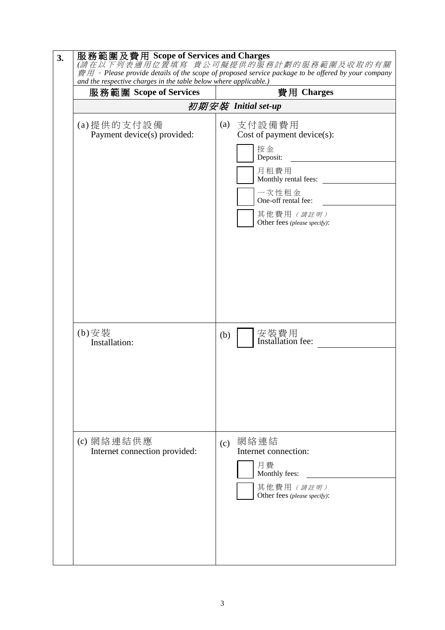| 服務範圍 Scope of Services                      | 費用 Charges                                                                                                                                                                     |
|---------------------------------------------|--------------------------------------------------------------------------------------------------------------------------------------------------------------------------------|
|                                             | 初期安裝 Initial set-up                                                                                                                                                            |
| (a) 提供的支付設備<br>Payment device(s) provided:  | (a)<br>支付設備費用<br>Cost of payment $device(s)$ :<br>按金<br>Deposit:<br>月租費用<br>Monthly rental fees:<br>一次性租金<br>One-off rental fee:<br>其他費用 (請註明)<br>Other fees (please specify): |
| (b)安裝<br>Installation:                      | 安裝費用<br>Installation fee:<br>(b)                                                                                                                                               |
| (c) 網絡連結供應<br>Internet connection provided: | 網絡連結<br>(c)<br>Internet connection:<br>月費<br>Monthly fees:<br>其他費用 (請註明)<br>Other fees (please specify):                                                                       |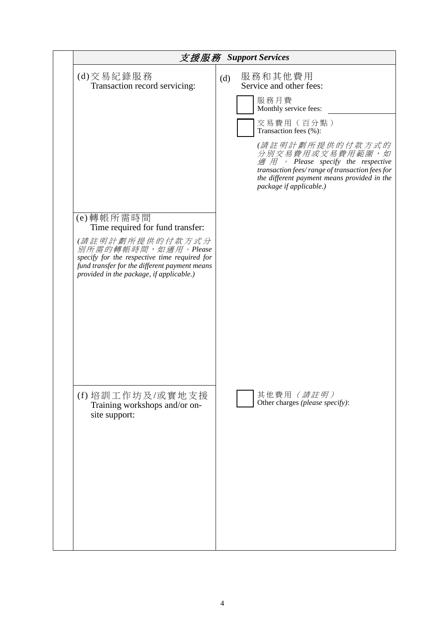| 支援服務 Support Services                                                                                                                                                                                                                |                                                                                                                                                                                                                                                                                                                                                               |  |
|--------------------------------------------------------------------------------------------------------------------------------------------------------------------------------------------------------------------------------------|---------------------------------------------------------------------------------------------------------------------------------------------------------------------------------------------------------------------------------------------------------------------------------------------------------------------------------------------------------------|--|
| (d)交易紀錄服務<br>Transaction record servicing:                                                                                                                                                                                           | 服務和其他費用<br>(d)<br>Service and other fees:<br>服務月費<br>Monthly service fees:<br>交易費用(百分點)<br>Transaction fees (%):<br>(請註明計劃所提供的付款方式的<br>分別交易費用或交易費用範圍,如<br>$\mathcal{B}$ $\mathcal{B}$ $\rightarrow$ Please specify the respective<br>transaction fees/range of transaction fees for<br>the different payment means provided in the<br>package if applicable.) |  |
| (e)轉帳所需時間<br>Time required for fund transfer:<br>(請註明計劃所提供的付款方式分<br>別所需的轉帳時間,如適用。Please<br>specify for the respective time required for<br>fund transfer for the different payment means<br>provided in the package, if applicable.) |                                                                                                                                                                                                                                                                                                                                                               |  |
| (f) 培訓工作坊及/或實地支援<br>Training workshops and/or on-<br>site support:                                                                                                                                                                   | 其他費用 (請註明)<br>Other charges (please specify):                                                                                                                                                                                                                                                                                                                 |  |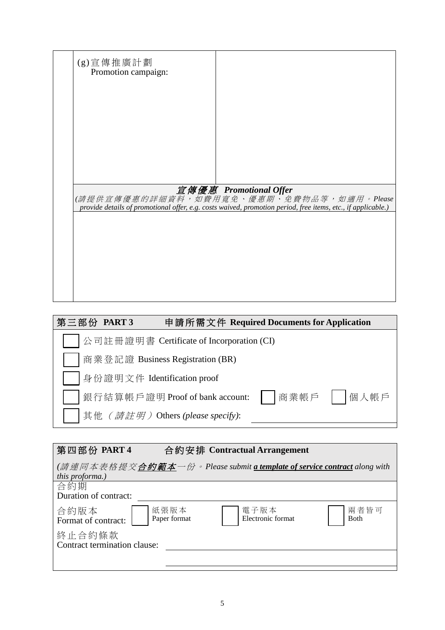| (g)宣傳推廣計劃           |                                                                                                                                                                                    |
|---------------------|------------------------------------------------------------------------------------------------------------------------------------------------------------------------------------|
| Promotion campaign: |                                                                                                                                                                                    |
|                     |                                                                                                                                                                                    |
|                     |                                                                                                                                                                                    |
|                     |                                                                                                                                                                                    |
|                     |                                                                                                                                                                                    |
|                     |                                                                                                                                                                                    |
|                     |                                                                                                                                                                                    |
|                     |                                                                                                                                                                                    |
|                     |                                                                                                                                                                                    |
|                     | 宣傳優惠 Promotional Offer<br>(請提供宣傳優惠的詳細資料,如費用寬免、優惠期、免費物品等,如適用。Please<br>provide details of promotional offer, e.g. costs waived, promotion period, free items, etc., if applicable.) |
|                     |                                                                                                                                                                                    |
|                     |                                                                                                                                                                                    |
|                     |                                                                                                                                                                                    |
|                     |                                                                                                                                                                                    |
|                     |                                                                                                                                                                                    |
|                     |                                                                                                                                                                                    |
|                     |                                                                                                                                                                                    |

| 第三部份 PART3 | 申請所需文件 Required Documents for Application |              |
|------------|-------------------------------------------|--------------|
|            | 公司註冊證明書 Certificate of Incorporation (CI) |              |
|            | 商業登記證 Business Registration (BR)          |              |
|            | 身份證明文件 Identification proof               |              |
|            | 銀行結算帳戶證明 Proof of bank account:           | 商業帳戶    個人帳戶 |
|            | 其他 (請註明) Others (please specify):         |              |

| 第四部份 PART 4                                                                                                               |                      | 合約安排 Contractual Arrangement |                     |
|---------------------------------------------------------------------------------------------------------------------------|----------------------|------------------------------|---------------------|
| ( <i>請連同本表格提交<b>合約範本</b>一份。</i> Please submit <u>a template of service contract</u> along with<br><i>this proforma.</i> ) |                      |                              |                     |
| 合約期<br>Duration of contract:                                                                                              |                      |                              |                     |
| 合約版本<br>Format of contract:                                                                                               | 紙張版本<br>Paper format | 電子版本<br>Electronic format    | 兩者皆可<br><b>Both</b> |
| 終止合約條款<br>Contract termination clause:                                                                                    |                      |                              |                     |
|                                                                                                                           |                      |                              |                     |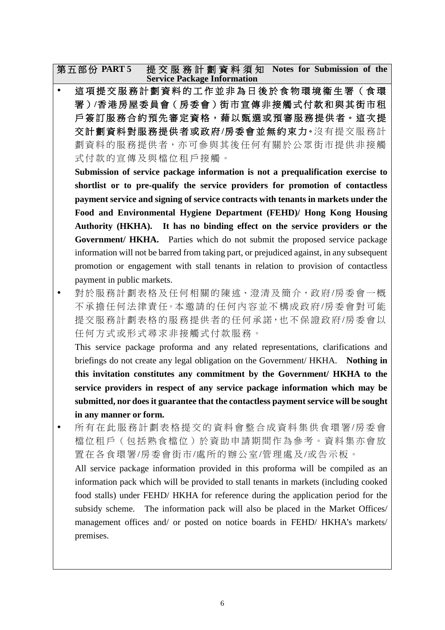第五部份 **PART 5** 提交服務計劃資料須知 **Notes for Submission of the Service Package Information**

這項提交服務計劃資料的工作並非為日後於食物環境衞生署(食環 署 )**/**香 港 房 屋 委員會( 房 委 會 )街市宣傳非接觸式付款和與 其 街 市 租 戶簽訂服務合約預先審定資格,藉以甄選或預審服務提供者。這次提 交計劃資料對服務提供者或政府 **/**房委會 並 無 約 束 力。沒有提交 服務計 劃資料的服務提供者,亦可參與其後任何有關於公眾街市提供非接觸 式付款的宣傳及與檔位租戶接觸。

**Submission of service package information is not a prequalification exercise to shortlist or to pre-qualify the service providers for promotion of contactless payment service and signing of service contracts with tenants in markets under the Food and Environmental Hygiene Department (FEHD)/ Hong Kong Housing Authority (HKHA). It has no binding effect on the service providers or the Government/ HKHA.** Parties which do not submit the proposed service package information will not be barred from taking part, or prejudiced against, in any subsequent promotion or engagement with stall tenants in relation to provision of contactless payment in public markets.

 對於服務計劃表格及任何相關的陳述、澄清及簡介,政府 /房委會 一概 不承擔任何法律責任。本邀請的任何內容並不構成政府/房委會對可能 提交服務計劃表格的服務提供者的任何承諾,也不保證政府/房委會以 任何方式或形式尋求非接觸式付款服務。

This service package proforma and any related representations, clarifications and briefings do not create any legal obligation on the Government/ HKHA. **Nothing in this invitation constitutes any commitment by the Government/ HKHA to the service providers in respect of any service package information which may be submitted, nor does it guarantee that the contactless payment service will be sought in any manner or form.**

- 所有在此 服務計劃 表格提交的資料 會整合成資料集供食環署 /房委會 檔位租戶(包括熟食檔位)於資助申請期間作為參考。資料集亦會放 置在各食環署/房委會街 市/處所 的辦公室/管理處及 /或 告示板。 All service package information provided in this proforma will be compiled as an information pack which will be provided to stall tenants in markets (including cooked food stalls) under FEHD/ HKHA for reference during the application period for the subsidy scheme. The information pack will also be placed in the Market Offices/
	- management offices and/ or posted on notice boards in FEHD/ HKHA's markets/ premises.